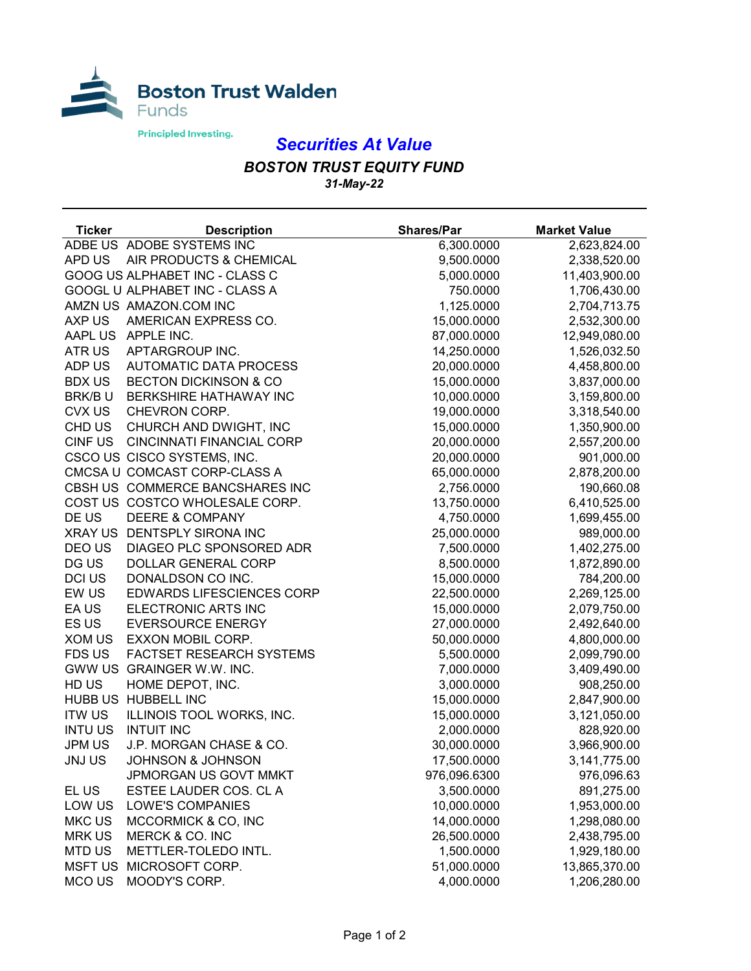

## *Securities At Value*

## *BOSTON TRUST EQUITY FUND 31-May-22*

| <b>Ticker</b>  | <b>Description</b>               | <b>Shares/Par</b> | <b>Market Value</b> |
|----------------|----------------------------------|-------------------|---------------------|
|                | ADBE US ADOBE SYSTEMS INC        | 6,300.0000        | 2,623,824.00        |
| APD US         | AIR PRODUCTS & CHEMICAL          | 9,500.0000        | 2,338,520.00        |
|                | GOOG US ALPHABET INC - CLASS C   | 5,000.0000        | 11,403,900.00       |
|                | GOOGL U ALPHABET INC - CLASS A   | 750.0000          | 1,706,430.00        |
|                | AMZN US AMAZON.COM INC           | 1,125.0000        | 2,704,713.75        |
| AXP US         | AMERICAN EXPRESS CO.             | 15,000.0000       | 2,532,300.00        |
|                | AAPL US APPLE INC.               | 87,000.0000       | 12,949,080.00       |
| ATR US         | APTARGROUP INC.                  | 14,250.0000       | 1,526,032.50        |
| ADP US         | <b>AUTOMATIC DATA PROCESS</b>    | 20,000.0000       | 4,458,800.00        |
| <b>BDX US</b>  | <b>BECTON DICKINSON &amp; CO</b> | 15,000.0000       | 3,837,000.00        |
| BRK/BU         | BERKSHIRE HATHAWAY INC           | 10,000.0000       | 3,159,800.00        |
| CVX US         | CHEVRON CORP.                    | 19,000.0000       | 3,318,540.00        |
| CHD US         | CHURCH AND DWIGHT, INC           | 15,000.0000       | 1,350,900.00        |
| <b>CINFUS</b>  | <b>CINCINNATI FINANCIAL CORP</b> | 20,000.0000       | 2,557,200.00        |
|                | CSCO US CISCO SYSTEMS, INC.      | 20,000.0000       | 901,000.00          |
|                | CMCSA U COMCAST CORP-CLASS A     | 65,000.0000       | 2,878,200.00        |
|                | CBSH US COMMERCE BANCSHARES INC  | 2,756.0000        | 190,660.08          |
|                | COST US COSTCO WHOLESALE CORP.   | 13,750.0000       | 6,410,525.00        |
| DE US          | <b>DEERE &amp; COMPANY</b>       | 4,750.0000        | 1,699,455.00        |
|                | XRAY US DENTSPLY SIRONA INC      | 25,000.0000       | 989,000.00          |
| DEO US         | DIAGEO PLC SPONSORED ADR         | 7,500.0000        | 1,402,275.00        |
| DG US          | <b>DOLLAR GENERAL CORP</b>       | 8,500.0000        | 1,872,890.00        |
| <b>DCI US</b>  | DONALDSON CO INC.                | 15,000.0000       | 784,200.00          |
| EW US          | <b>EDWARDS LIFESCIENCES CORP</b> | 22,500.0000       | 2,269,125.00        |
| EA US          | ELECTRONIC ARTS INC              | 15,000.0000       | 2,079,750.00        |
| ES US          | <b>EVERSOURCE ENERGY</b>         | 27,000.0000       | 2,492,640.00        |
| XOM US         | EXXON MOBIL CORP.                | 50,000.0000       | 4,800,000.00        |
| FDS US         | <b>FACTSET RESEARCH SYSTEMS</b>  | 5,500.0000        | 2,099,790.00        |
|                | GWW US GRAINGER W.W. INC.        | 7,000.0000        | 3,409,490.00        |
| HD US          | HOME DEPOT, INC.                 | 3,000.0000        | 908,250.00          |
|                | HUBB US HUBBELL INC              | 15,000.0000       | 2,847,900.00        |
| <b>ITW US</b>  | ILLINOIS TOOL WORKS, INC.        | 15,000.0000       | 3,121,050.00        |
| <b>INTU US</b> | <b>INTUIT INC</b>                | 2,000.0000        | 828,920.00          |
| <b>JPM US</b>  | J.P. MORGAN CHASE & CO.          | 30,000.0000       | 3,966,900.00        |
| <b>JNJUS</b>   | <b>JOHNSON &amp; JOHNSON</b>     | 17,500.0000       | 3,141,775.00        |
|                | JPMORGAN US GOVT MMKT            | 976,096.6300      | 976,096.63          |
| EL US          | ESTEE LAUDER COS. CL A           | 3,500.0000        | 891,275.00          |
| LOW US         | LOWE'S COMPANIES                 | 10,000.0000       | 1,953,000.00        |
| MKC US         | MCCORMICK & CO, INC              | 14,000.0000       | 1,298,080.00        |
| <b>MRK US</b>  | MERCK & CO. INC                  | 26,500.0000       | 2,438,795.00        |
| <b>MTD US</b>  | METTLER-TOLEDO INTL.             | 1,500.0000        | 1,929,180.00        |
| <b>MSFT US</b> | MICROSOFT CORP.                  | 51,000.0000       | 13,865,370.00       |
| MCO US         | MOODY'S CORP.                    | 4,000.0000        | 1,206,280.00        |